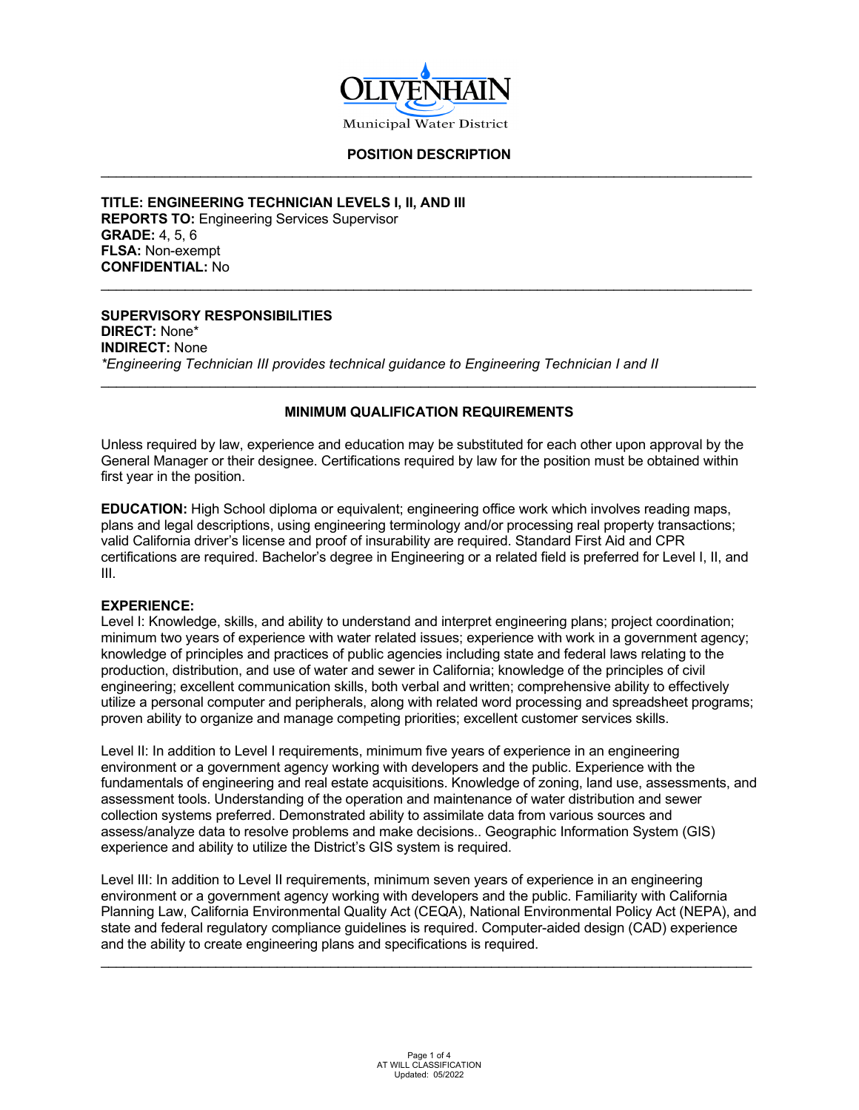

#### **POSITION DESCRIPTION** \_\_\_\_\_\_\_\_\_\_\_\_\_\_\_\_\_\_\_\_\_\_\_\_\_\_\_\_\_\_\_\_\_\_\_\_\_\_\_\_\_\_\_\_\_\_\_\_\_\_\_\_\_\_\_\_\_\_\_\_\_\_\_\_\_\_\_\_\_\_\_\_\_\_\_\_\_\_\_\_\_\_\_\_\_

\_\_\_\_\_\_\_\_\_\_\_\_\_\_\_\_\_\_\_\_\_\_\_\_\_\_\_\_\_\_\_\_\_\_\_\_\_\_\_\_\_\_\_\_\_\_\_\_\_\_\_\_\_\_\_\_\_\_\_\_\_\_\_\_\_\_\_\_\_\_\_\_\_\_\_\_\_\_\_\_\_\_\_\_\_

**TITLE: ENGINEERING TECHNICIAN LEVELS I, II, AND III REPORTS TO:** Engineering Services Supervisor **GRADE:** 4, 5, 6 **FLSA:** Non-exempt **CONFIDENTIAL:** No

# **SUPERVISORY RESPONSIBILITIES**

**DIRECT:** None\* **INDIRECT:** None *\*Engineering Technician III provides technical guidance to Engineering Technician I and II*

## **MINIMUM QUALIFICATION REQUIREMENTS**

\_\_\_\_\_\_\_\_\_\_\_\_\_\_\_\_\_\_\_\_\_\_\_\_\_\_\_\_\_\_\_\_\_\_\_\_\_\_\_\_\_\_\_\_\_\_\_\_\_\_\_\_\_\_\_\_\_\_\_\_\_\_\_\_\_\_\_\_\_\_\_\_\_\_\_\_\_\_\_\_\_\_\_\_

Unless required by law, experience and education may be substituted for each other upon approval by the General Manager or their designee. Certifications required by law for the position must be obtained within first year in the position.

**EDUCATION:** High School diploma or equivalent; engineering office work which involves reading maps, plans and legal descriptions, using engineering terminology and/or processing real property transactions; valid California driver's license and proof of insurability are required. Standard First Aid and CPR certifications are required. Bachelor's degree in Engineering or a related field is preferred for Level I, II, and III.

#### **EXPERIENCE:**

Level I: Knowledge, skills, and ability to understand and interpret engineering plans; project coordination; minimum two years of experience with water related issues; experience with work in a government agency; knowledge of principles and practices of public agencies including state and federal laws relating to the production, distribution, and use of water and sewer in California; knowledge of the principles of civil engineering; excellent communication skills, both verbal and written; comprehensive ability to effectively utilize a personal computer and peripherals, along with related word processing and spreadsheet programs; proven ability to organize and manage competing priorities; excellent customer services skills.

Level II: In addition to Level I requirements, minimum five years of experience in an engineering environment or a government agency working with developers and the public. Experience with the fundamentals of engineering and real estate acquisitions. Knowledge of zoning, land use, assessments, and assessment tools. Understanding of the operation and maintenance of water distribution and sewer collection systems preferred. Demonstrated ability to assimilate data from various sources and assess/analyze data to resolve problems and make decisions.. Geographic Information System (GIS) experience and ability to utilize the District's GIS system is required.

Level III: In addition to Level II requirements, minimum seven years of experience in an engineering environment or a government agency working with developers and the public. Familiarity with California Planning Law, California Environmental Quality Act (CEQA), National Environmental Policy Act (NEPA), and state and federal regulatory compliance guidelines is required. Computer-aided design (CAD) experience and the ability to create engineering plans and specifications is required.

\_\_\_\_\_\_\_\_\_\_\_\_\_\_\_\_\_\_\_\_\_\_\_\_\_\_\_\_\_\_\_\_\_\_\_\_\_\_\_\_\_\_\_\_\_\_\_\_\_\_\_\_\_\_\_\_\_\_\_\_\_\_\_\_\_\_\_\_\_\_\_\_\_\_\_\_\_\_\_\_\_\_\_\_\_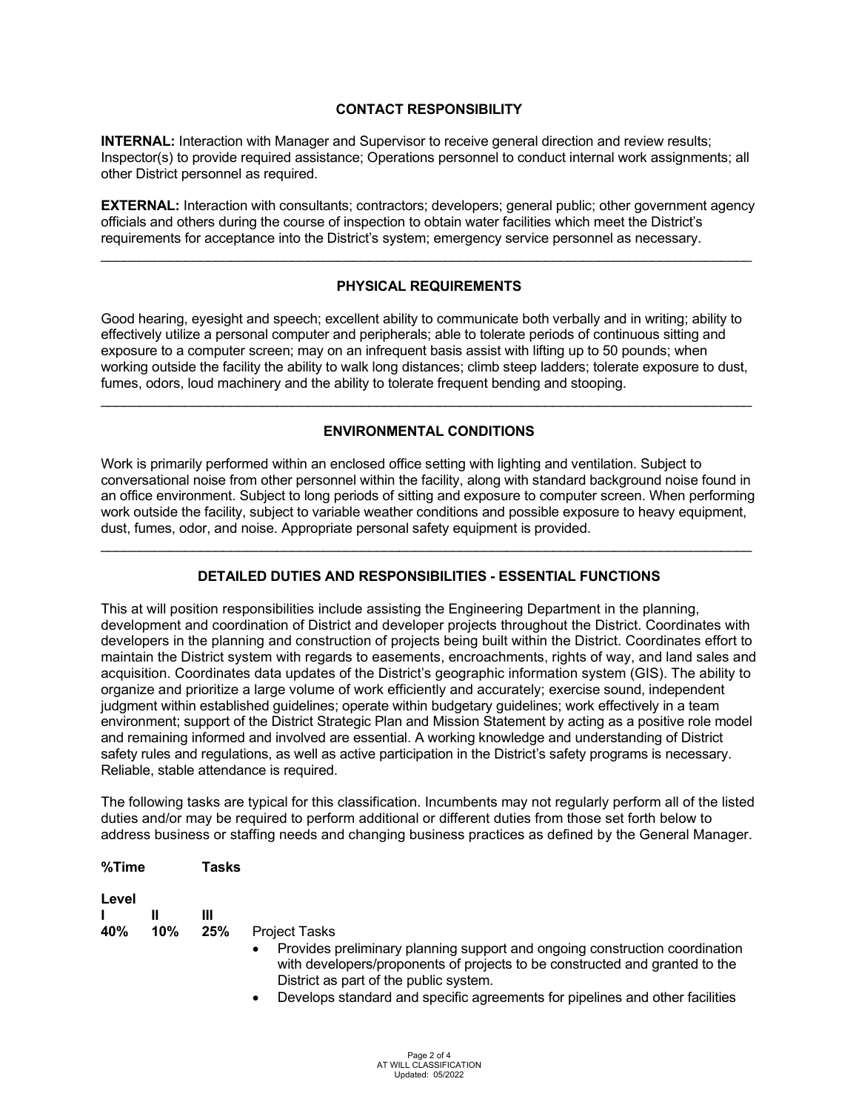## **CONTACT RESPONSIBILITY**

**INTERNAL:** Interaction with Manager and Supervisor to receive general direction and review results; Inspector(s) to provide required assistance; Operations personnel to conduct internal work assignments; all other District personnel as required.

**EXTERNAL:** Interaction with consultants; contractors; developers; general public; other government agency officials and others during the course of inspection to obtain water facilities which meet the District's requirements for acceptance into the District's system; emergency service personnel as necessary.

\_\_\_\_\_\_\_\_\_\_\_\_\_\_\_\_\_\_\_\_\_\_\_\_\_\_\_\_\_\_\_\_\_\_\_\_\_\_\_\_\_\_\_\_\_\_\_\_\_\_\_\_\_\_\_\_\_\_\_\_\_\_\_\_\_\_\_\_\_\_\_\_\_\_\_\_\_\_\_\_\_\_\_\_\_

#### **PHYSICAL REQUIREMENTS**

Good hearing, eyesight and speech; excellent ability to communicate both verbally and in writing; ability to effectively utilize a personal computer and peripherals; able to tolerate periods of continuous sitting and exposure to a computer screen; may on an infrequent basis assist with lifting up to 50 pounds; when working outside the facility the ability to walk long distances; climb steep ladders; tolerate exposure to dust, fumes, odors, loud machinery and the ability to tolerate frequent bending and stooping.

## **ENVIRONMENTAL CONDITIONS**

\_\_\_\_\_\_\_\_\_\_\_\_\_\_\_\_\_\_\_\_\_\_\_\_\_\_\_\_\_\_\_\_\_\_\_\_\_\_\_\_\_\_\_\_\_\_\_\_\_\_\_\_\_\_\_\_\_\_\_\_\_\_\_\_\_\_\_\_\_\_\_\_\_\_\_\_\_\_\_\_\_\_\_\_\_

Work is primarily performed within an enclosed office setting with lighting and ventilation. Subject to conversational noise from other personnel within the facility, along with standard background noise found in an office environment. Subject to long periods of sitting and exposure to computer screen. When performing work outside the facility, subject to variable weather conditions and possible exposure to heavy equipment, dust, fumes, odor, and noise. Appropriate personal safety equipment is provided.

## **DETAILED DUTIES AND RESPONSIBILITIES - ESSENTIAL FUNCTIONS**

\_\_\_\_\_\_\_\_\_\_\_\_\_\_\_\_\_\_\_\_\_\_\_\_\_\_\_\_\_\_\_\_\_\_\_\_\_\_\_\_\_\_\_\_\_\_\_\_\_\_\_\_\_\_\_\_\_\_\_\_\_\_\_\_\_\_\_\_\_\_\_\_\_\_\_\_\_\_\_\_\_\_\_\_\_

This at will position responsibilities include assisting the Engineering Department in the planning, development and coordination of District and developer projects throughout the District. Coordinates with developers in the planning and construction of projects being built within the District. Coordinates effort to maintain the District system with regards to easements, encroachments, rights of way, and land sales and acquisition. Coordinates data updates of the District's geographic information system (GIS). The ability to organize and prioritize a large volume of work efficiently and accurately; exercise sound, independent judgment within established guidelines; operate within budgetary guidelines; work effectively in a team environment; support of the District Strategic Plan and Mission Statement by acting as a positive role model and remaining informed and involved are essential. A working knowledge and understanding of District safety rules and regulations, as well as active participation in the District's safety programs is necessary. Reliable, stable attendance is required.

The following tasks are typical for this classification. Incumbents may not regularly perform all of the listed duties and/or may be required to perform additional or different duties from those set forth below to address business or staffing needs and changing business practices as defined by the General Manager.

| %Time        |     | Tasks    |                                                                                                                                                                                                                                                                                                                           |
|--------------|-----|----------|---------------------------------------------------------------------------------------------------------------------------------------------------------------------------------------------------------------------------------------------------------------------------------------------------------------------------|
| Level<br>40% | 10% | Ш<br>25% | <b>Project Tasks</b><br>Provides preliminary planning support and ongoing construction coordination<br>$\bullet$<br>with developers/proponents of projects to be constructed and granted to the<br>District as part of the public system.<br>Dovelope standard and specific agreements for pipelines and other facilities |
|              |     |          |                                                                                                                                                                                                                                                                                                                           |

• Develops standard and specific agreements for pipelines and other facilities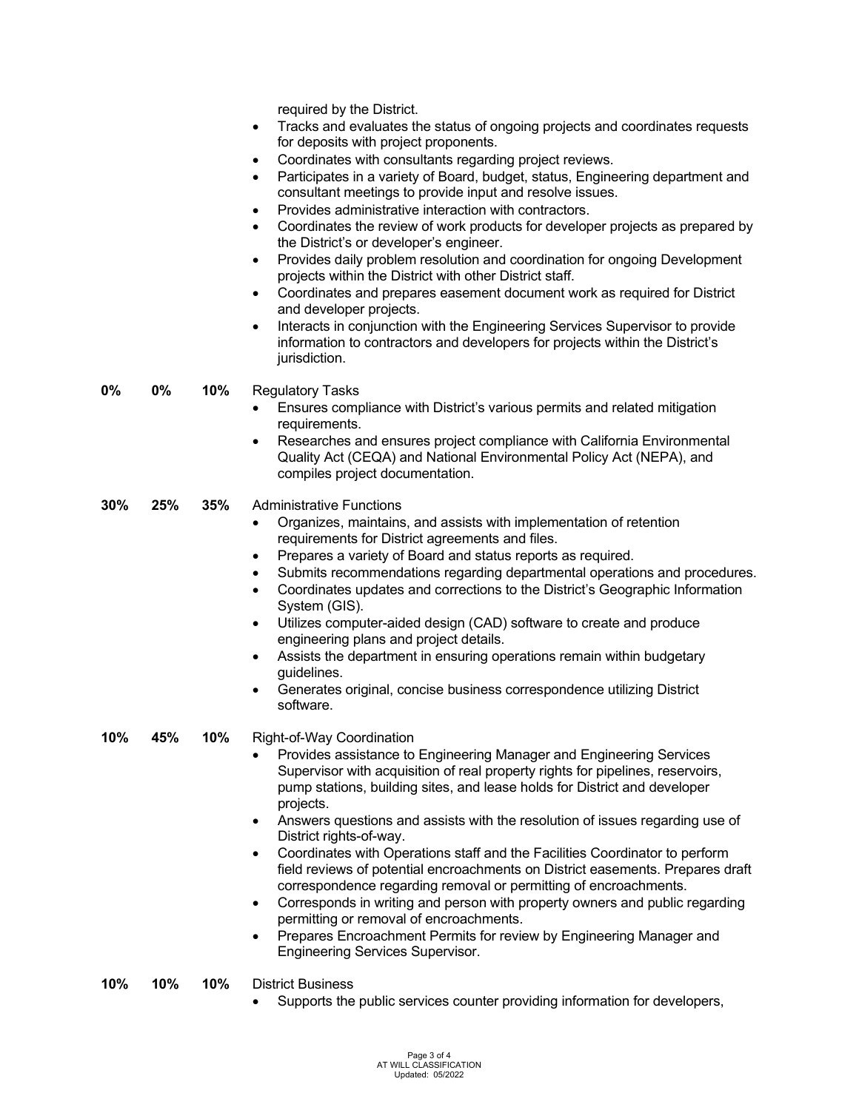required by the District.

- Tracks and evaluates the status of ongoing projects and coordinates requests for deposits with project proponents.
- Coordinates with consultants regarding project reviews.
- Participates in a variety of Board, budget, status, Engineering department and consultant meetings to provide input and resolve issues.
- Provides administrative interaction with contractors.
- Coordinates the review of work products for developer projects as prepared by the District's or developer's engineer.
- Provides daily problem resolution and coordination for ongoing Development projects within the District with other District staff.
- Coordinates and prepares easement document work as required for District and developer projects.
- Interacts in conjunction with the Engineering Services Supervisor to provide information to contractors and developers for projects within the District's jurisdiction.

**0% 0% 10%** Regulatory Tasks

- Ensures compliance with District's various permits and related mitigation requirements.
- Researches and ensures project compliance with California Environmental Quality Act (CEQA) and National Environmental Policy Act (NEPA), and compiles project documentation.
- **30% 25% 35%** Administrative Functions
	- Organizes, maintains, and assists with implementation of retention requirements for District agreements and files.
	- Prepares a variety of Board and status reports as required.
	- Submits recommendations regarding departmental operations and procedures.
	- Coordinates updates and corrections to the District's Geographic Information System (GIS).
	- Utilizes computer-aided design (CAD) software to create and produce engineering plans and project details.
	- Assists the department in ensuring operations remain within budgetary guidelines.
	- Generates original, concise business correspondence utilizing District software.

**10% 45% 10%** Right-of-Way Coordination

- Provides assistance to Engineering Manager and Engineering Services Supervisor with acquisition of real property rights for pipelines, reservoirs, pump stations, building sites, and lease holds for District and developer projects.
- Answers questions and assists with the resolution of issues regarding use of District rights-of-way.
- Coordinates with Operations staff and the Facilities Coordinator to perform field reviews of potential encroachments on District easements. Prepares draft correspondence regarding removal or permitting of encroachments.
- Corresponds in writing and person with property owners and public regarding permitting or removal of encroachments.
- Prepares Encroachment Permits for review by Engineering Manager and Engineering Services Supervisor.
- **10% 10% 10%** District Business
	- Supports the public services counter providing information for developers,